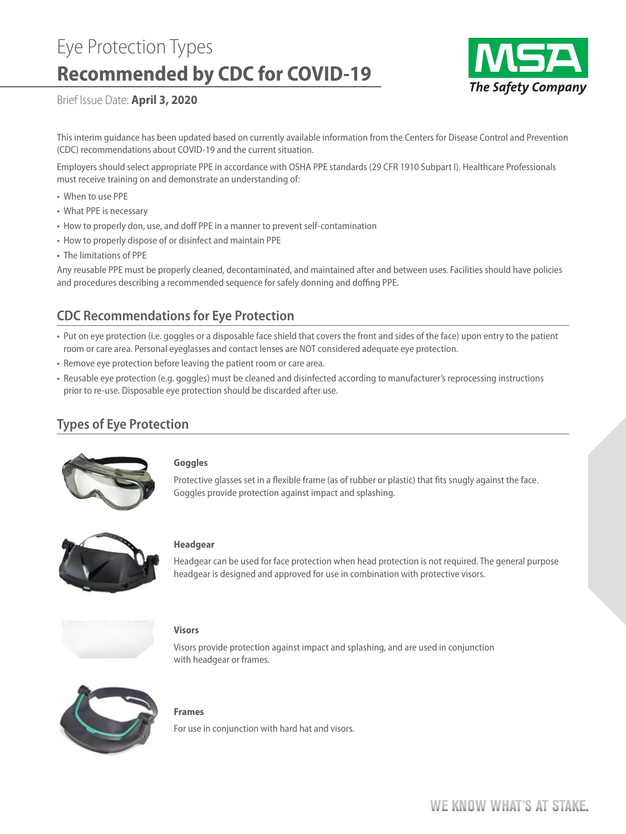# Eye Protection Types **Recommended by CDC for COVID-19**



Brief Issue Date: **April 3, 2020**

This interim guidance has been updated based on currently available information from the Centers for Disease Control and Prevention (CDC) recommendations about COVID-19 and the current situation.

Employers should select appropriate PPE in accordance with OSHA PPE standards (29 CFR 1910 Subpart I). Healthcare Professionals must receive training on and demonstrate an understanding of:

- When to use PPE
- What PPE is necessary
- How to properly don, use, and doff PPE in a manner to prevent self-contamination
- How to properly dispose of or disinfect and maintain PPE
- The limitations of PPE

Any reusable PPE must be properly cleaned, decontaminated, and maintained after and between uses. Facilities should have policies and procedures describing a recommended sequence for safely donning and doffing PPE.

## **CDC Recommendations for Eye Protection**

- Put on eye protection (i.e. goggles or a disposable face shield that covers the front and sides of the face) upon entry to the patient room or care area. Personal eyeglasses and contact lenses are NOT considered adequate eye protection.
- Remove eye protection before leaving the patient room or care area.
- Reusable eye protection (e.g. goggles) must be cleaned and disinfected according to manufacturer's reprocessing instructions prior to re-use. Disposable eye protection should be discarded after use.

## **Types of Eye Protection**



## **Goggles**

Protective glasses set in a flexible frame (as of rubber or plastic) that fits snugly against the face. Goggles provide protection against impact and splashing.



#### **Headgear**

Headgear can be used for face protection when head protection is not required. The general purpose headgear is designed and approved for use in combination with protective visors.



#### **Visors**

Visors provide protection against impact and splashing, and are used in conjunction with headgear or frames.



#### **Frames**

For use in conjunction with hard hat and visors.